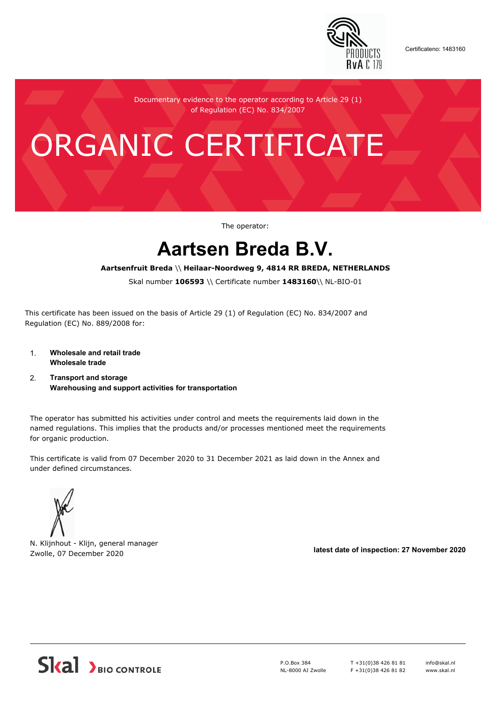

Certificateno: 1483160

Documentary evidence to the operator according to Article 29 (1) of Regulation (EC) No. 834/2007

# ORGANIC CERTIFICATE

The operator:

## **Aartsen Breda B.V.**

#### **Aartsenfruit Breda** \\ **Heilaar-Noordweg 9, 4814 RR BREDA, NETHERLANDS**

Skal number **106593** \\ Certificate number **1483160**\\ NL-BIO-01

This certificate has been issued on the basis of Article 29 (1) of Regulation (EC) No. 834/2007 and Regulation (EC) No. 889/2008 for:

- 1. **Wholesale and retail trade Wholesale trade**
- 2. **Transport and storage Warehousing and support activities for transportation**

The operator has submitted his activities under control and meets the requirements laid down in the named regulations. This implies that the products and/or processes mentioned meet the requirements for organic production.

This certificate is valid from 07 December 2020 to 31 December 2021 as laid down in the Annex and under defined circumstances.



N. Klijnhout - Klijn, general manager Zwolle, 07 December 2020 **latest date of inspection: 27 November 2020**



P.O.Box 384 NL-8000 AJ Zwolle